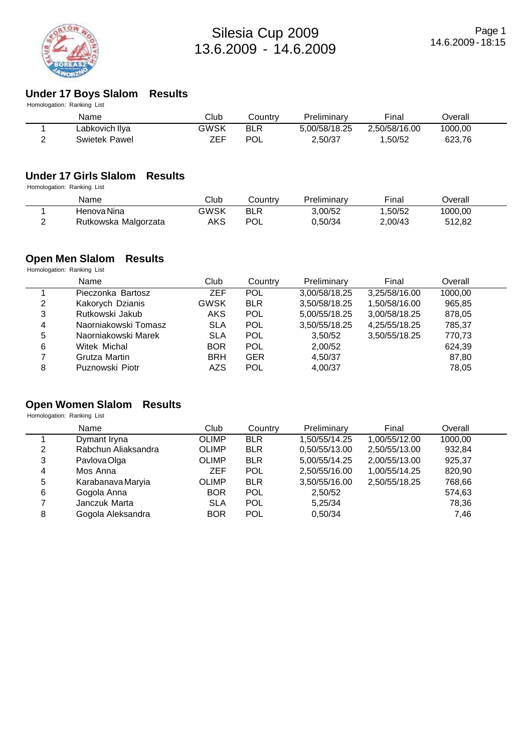

### **Under 17 Boys Slalom Results**

| Name           | Club                       | Countrv    | Preliminary   | Final         | Overall |  |
|----------------|----------------------------|------------|---------------|---------------|---------|--|
| Labkovich Ilya | GWSK                       | <b>BLR</b> | 5.00/58/18.25 | 2.50/58/16.00 | 1000.00 |  |
| Swietek Pawel  | ZEF                        | POL        | 2.50/37       | 1.50/52       | 623.76  |  |
|                | Homologation: Ranking List |            |               |               |         |  |

## **Under 17 Girls Slalom Results**

Homologation: Ranking List

|   | Name                 | Club | こountrv         | Preliminarv | Final   | <b>Dverall</b> |  |
|---|----------------------|------|-----------------|-------------|---------|----------------|--|
|   | Henova Nina          | GWSK | <b>BLR</b><br>D | 3.00/52     | .50/52  | 1000,00        |  |
| - | Rutkowska Malgorzata | AKS  | <b>POL</b>      | J,50/34     | 2.00/43 | 512,82         |  |

### **Open Men Slalom Results**

Homologation: Ranking List

|   | Name                 | Club        | Country    | Preliminary   | Final         | Overall |  |
|---|----------------------|-------------|------------|---------------|---------------|---------|--|
|   | Pieczonka Bartosz    | <b>ZEF</b>  | <b>POL</b> | 3,00/58/18.25 | 3,25/58/16.00 | 1000,00 |  |
| 2 | Kakorych Dzianis     | <b>GWSK</b> | <b>BLR</b> | 3,50/58/18.25 | 1,50/58/16.00 | 965,85  |  |
| 3 | Rutkowski Jakub      | <b>AKS</b>  | <b>POL</b> | 5,00/55/18.25 | 3,00/58/18.25 | 878,05  |  |
| 4 | Naorniakowski Tomasz | <b>SLA</b>  | <b>POL</b> | 3,50/55/18.25 | 4,25/55/18.25 | 785,37  |  |
| 5 | Naorniakowski Marek  | <b>SLA</b>  | <b>POL</b> | 3,50/52       | 3,50/55/18.25 | 770,73  |  |
| 6 | Witek Michal         | <b>BOR</b>  | <b>POL</b> | 2,00/52       |               | 624,39  |  |
| 7 | Grutza Martin        | <b>BRH</b>  | <b>GER</b> | 4.50/37       |               | 87,80   |  |
| 8 | Puznowski Piotr      | AZS         | <b>POL</b> | 4,00/37       |               | 78,05   |  |

### **Open Women Slalom Results**

Homologation: Ranking List

|   | Name                | Club         | Country    | Preliminary   | Final         | Overall |  |
|---|---------------------|--------------|------------|---------------|---------------|---------|--|
|   | Dymant Iryna        | <b>OLIMP</b> | <b>BLR</b> | 1,50/55/14.25 | 1,00/55/12.00 | 1000.00 |  |
| 2 | Rabchun Aliaksandra | <b>OLIMP</b> | <b>BLR</b> | 0,50/55/13.00 | 2,50/55/13.00 | 932,84  |  |
| 3 | Pavlova Olga        | <b>OLIMP</b> | <b>BLR</b> | 5,00/55/14.25 | 2,00/55/13.00 | 925,37  |  |
| 4 | Mos Anna            | ZEF          | <b>POL</b> | 2,50/55/16.00 | 1,00/55/14.25 | 820,90  |  |
| 5 | Karabanava Maryia   | <b>OLIMP</b> | <b>BLR</b> | 3,50/55/16.00 | 2,50/55/18.25 | 768,66  |  |
| 6 | Gogola Anna         | <b>BOR</b>   | <b>POL</b> | 2,50/52       |               | 574,63  |  |
|   | Janczuk Marta       | <b>SLA</b>   | <b>POL</b> | 5,25/34       |               | 78,36   |  |
| 8 | Gogola Aleksandra   | <b>BOR</b>   | POL        | 0,50/34       |               | 7,46    |  |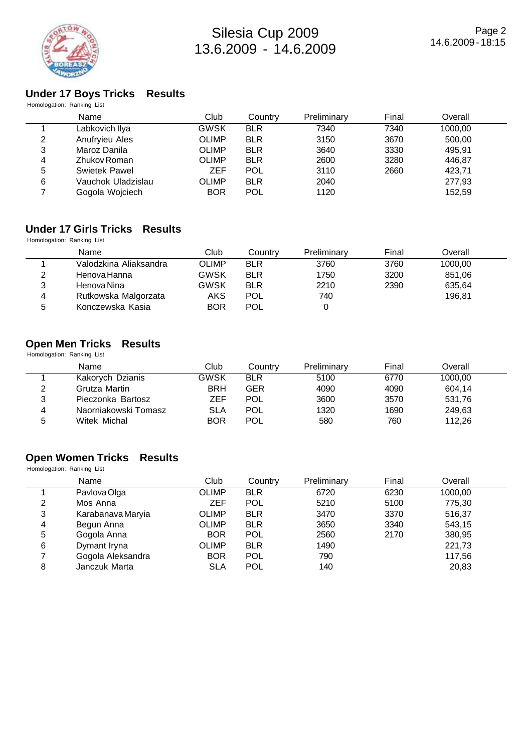

## Silesia Cup 2009 13.6.2009 - 14.6.2009

### **Under 17 Boys Tricks Results**

|   | Homologation: Ranking List |              |            |             |       |         |  |
|---|----------------------------|--------------|------------|-------------|-------|---------|--|
|   | Name                       | Club         | Country    | Preliminary | Final | Overall |  |
|   | Labkovich Ilya             | <b>GWSK</b>  | <b>BLR</b> | 7340        | 7340  | 1000.00 |  |
| 2 | Anufryieu Ales             | <b>OLIMP</b> | <b>BLR</b> | 3150        | 3670  | 500.00  |  |
| 3 | Maroz Danila               | <b>OLIMP</b> | <b>BLR</b> | 3640        | 3330  | 495,91  |  |
| 4 | Zhukov Roman               | <b>OLIMP</b> | <b>BLR</b> | 2600        | 3280  | 446,87  |  |
| 5 | Swietek Pawel              | <b>ZEF</b>   | <b>POL</b> | 3110        | 2660  | 423,71  |  |
| 6 | Vauchok Uladzislau         | <b>OLIMP</b> | <b>BLR</b> | 2040        |       | 277,93  |  |
|   | Gogola Wojciech            | <b>BOR</b>   | <b>POL</b> | 1120        |       | 152,59  |  |
|   |                            |              |            |             |       |         |  |

### **Under 17 Girls Tricks Results**

Homologation: Ranking List

|   | Name                   | Club         | Country    | Preliminary | Final | Overall |  |
|---|------------------------|--------------|------------|-------------|-------|---------|--|
|   | Valodzkina Aliaksandra | <b>OLIMP</b> | <b>BLR</b> | 3760        | 3760  | 1000.00 |  |
| 2 | Henova Hanna           | GWSK         | <b>BLR</b> | 1750        | 3200  | 851,06  |  |
| 3 | Henova Nina            | GWSK         | <b>BLR</b> | 2210        | 2390  | 635,64  |  |
| 4 | Rutkowska Malgorzata   | AKS          | <b>POL</b> | 740         |       | 196.81  |  |
| 5 | Konczewska Kasia       | <b>BOR</b>   | <b>POL</b> |             |       |         |  |

### **Open Men Tricks Results**

Homologation: Ranking List

|   | Name                 | Club       | Country    | Preliminary | Final | Overall |  |
|---|----------------------|------------|------------|-------------|-------|---------|--|
|   | Kakorych Dzianis     | GWSK       | <b>BLR</b> | 5100        | 6770  | 1000,00 |  |
| 2 | Grutza Martin        | <b>BRH</b> | GER        | 4090        | 4090  | 604.14  |  |
| 3 | Pieczonka Bartosz    | ZEF        | <b>POL</b> | 3600        | 3570  | 531,76  |  |
| 4 | Naorniakowski Tomasz | SLA        | <b>POL</b> | 1320        | 1690  | 249,63  |  |
| 5 | Witek Michal         | <b>BOR</b> | <b>POL</b> | 580         | 760   | 112.26  |  |

### **Open Women Tricks Results**

Homologation: Ranking List

|   | Name              | Club         | Country    | Preliminary | Final | Overall |  |
|---|-------------------|--------------|------------|-------------|-------|---------|--|
|   | Pavlova Olga      | <b>OLIMP</b> | <b>BLR</b> | 6720        | 6230  | 1000,00 |  |
| 2 | Mos Anna          | ZEF          | <b>POL</b> | 5210        | 5100  | 775,30  |  |
| 3 | Karabanava Maryia | <b>OLIMP</b> | <b>BLR</b> | 3470        | 3370  | 516,37  |  |
| 4 | Begun Anna        | <b>OLIMP</b> | <b>BLR</b> | 3650        | 3340  | 543,15  |  |
| 5 | Gogola Anna       | <b>BOR</b>   | <b>POL</b> | 2560        | 2170  | 380,95  |  |
| 6 | Dymant Iryna      | <b>OLIMP</b> | <b>BLR</b> | 1490        |       | 221,73  |  |
|   | Gogola Aleksandra | <b>BOR</b>   | <b>POL</b> | 790         |       | 117,56  |  |
| 8 | Janczuk Marta     | <b>SLA</b>   | <b>POL</b> | 140         |       | 20,83   |  |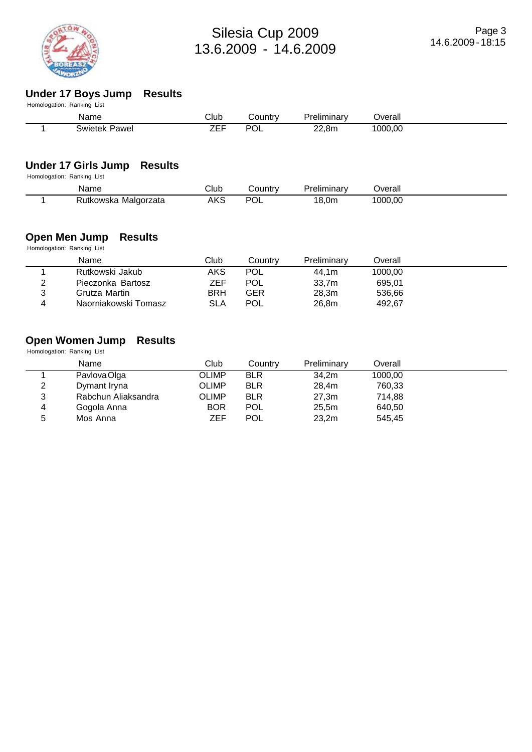

# **Under 17 Boys Jump Results**

| Homologation: Ranking List |      |         |             |         |  |
|----------------------------|------|---------|-------------|---------|--|
| Name                       | Club | Countr∨ | Preliminary | Jverall |  |
| Swietek Pawel              | ZEF  | POL     | 22,8m       | 1000.00 |  |

## **Under 17 Girls Jump Results**

Homologation: Ranking List

| Name                    | Club | ∟ountr∨   | Preliminarv | <b>T</b> |  |
|-------------------------|------|-----------|-------------|----------|--|
| Malgorzata<br>Rutkowska | AKS  | DC,<br>U∟ | .0m<br>10.  | 000.00   |  |

### **Open Men Jump Results**

Homologation: Ranking List

|        | Name                 | Club       | Country    | Preliminary | Overall |  |
|--------|----------------------|------------|------------|-------------|---------|--|
|        | Rutkowski Jakub      | AKS        | <b>POL</b> | 44.1m       | 1000.00 |  |
| າ<br>∼ | Pieczonka Bartosz    | ZEF        | <b>POL</b> | 33.7m       | 695.01  |  |
| 2      | Grutza Martin        | <b>BRH</b> | GER        | 28,3m       | 536.66  |  |
| ▵      | Naorniakowski Tomasz | SLA        | <b>POL</b> | 26.8m       | 492.67  |  |

## **Open Women Jump Results**

Homologation: Ranking List

|   | Name                | Club         | Country    | Preliminary | Overall |
|---|---------------------|--------------|------------|-------------|---------|
|   | Pavlova Olga        | <b>OLIMP</b> | <b>BLR</b> | 34,2m       | 1000,00 |
| 2 | Dymant Iryna        | <b>OLIMP</b> | <b>BLR</b> | 28,4m       | 760,33  |
| 3 | Rabchun Aliaksandra | <b>OLIMP</b> | <b>BLR</b> | 27,3m       | 714,88  |
| 4 | Gogola Anna         | <b>BOR</b>   | <b>POL</b> | 25,5m       | 640,50  |
| 5 | Mos Anna            | ZEF          | <b>POL</b> | 23,2m       | 545,45  |